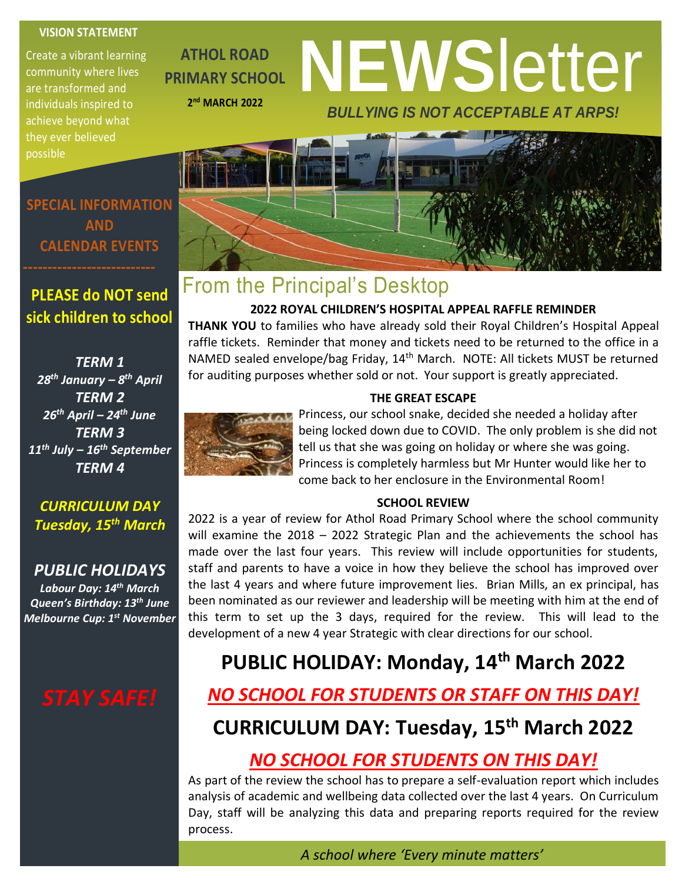#### **VISION STATEMENT**

Create a vibrant learning community where lives are transformed and individuals inspired to achieve beyond what they ever believed possible

**ATHOL ROAD PRIMARY SCHOOL 2 nd MARCH 2022**

# **NEWS**letter *BULLYING IS NOT ACCEPTABLE AT ARPS!*

## From the Principal's Desktop

#### **2022 ROYAL CHILDREN'S HOSPITAL APPEAL RAFFLE REMINDER**

**THANK YOU** to families who have already sold their Royal Children's Hospital Appeal raffle tickets. Reminder that money and tickets need to be returned to the office in a NAMED sealed envelope/bag Friday, 14<sup>th</sup> March. NOTE: All tickets MUST be returned for auditing purposes whether sold or not. Your support is greatly appreciated.



#### **THE GREAT ESCAPE**

Princess, our school snake, decided she needed a holiday after being locked down due to COVID. The only problem is she did not tell us that she was going on holiday or where she was going. Princess is completely harmless but Mr Hunter would like her to come back to her enclosure in the Environmental Room!

#### **SCHOOL REVIEW**

2022 is a year of review for Athol Road Primary School where the school community will examine the 2018 – 2022 Strategic Plan and the achievements the school has made over the last four years. This review will include opportunities for students, staff and parents to have a voice in how they believe the school has improved over the last 4 years and where future improvement lies. Brian Mills, an ex principal, has been nominated as our reviewer and leadership will be meeting with him at the end of this term to set up the 3 days, required for the review. This will lead to the development of a new 4 year Strategic with clear directions for our school.

## **PUBLIC HOLIDAY: Monday, 14th March 2022**

## *NO SCHOOL FOR STUDENTS OR STAFF ON THIS DAY!*

## **CURRICULUM DAY: Tuesday, 15th March 2022**

### *NO SCHOOL FOR STUDENTS ON THIS DAY!*

As part of the review the school has to prepare a self-evaluation report which includes analysis of academic and wellbeing data collected over the last 4 years. On Curriculum Day, staff will be analyzing this data and preparing reports required for the review process.

*A school where 'Every minute matters'*

**SPECIAL INFORMATION AND CALENDAR EVENTS**

## **PLEASE do NOT send sick children to school**

*TERM 1 28th January – 8 th April TERM 2 26th April – 24th June TERM 3 11th July – 16th September TERM 4*

*CURRICULUM DAY Tuesday, 15th March*

*PUBLIC HOLIDAYS Labour Day: 14th March Queen's Birthday: 13th June Melbourne Cup: 1st November*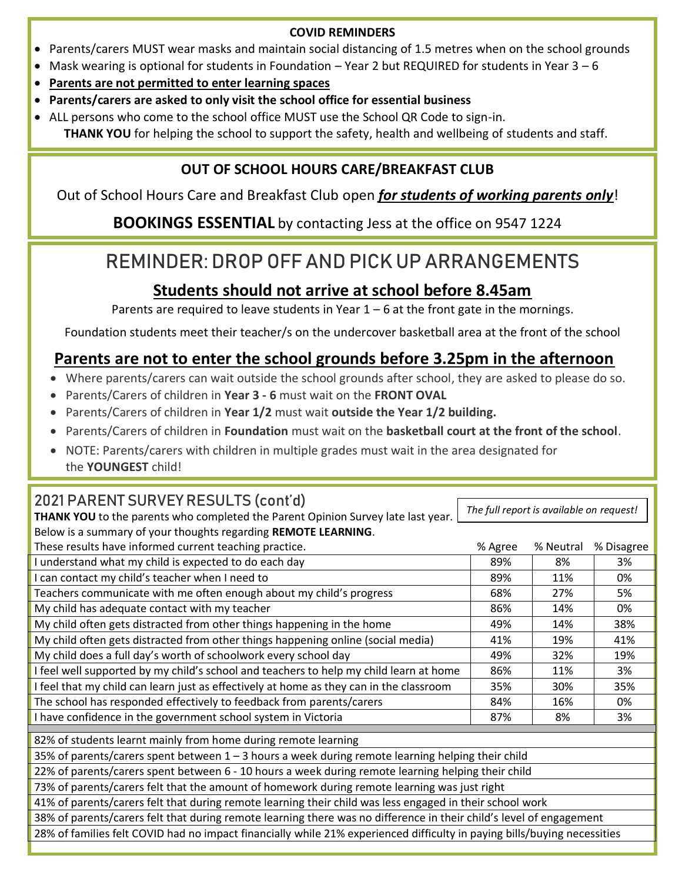#### **COVID REMINDERS**

- Parents/carers MUST wear masks and maintain social distancing of 1.5 metres when on the school grounds
- Mask wearing is optional for students in Foundation Year 2 but REQUIRED for students in Year  $3-6$
- **Parents are not permitted to enter learning spaces**
- **Parents/carers are asked to only visit the school office for essential business**
- ALL persons who come to the school office MUST use the School QR Code to sign-in. **THANK YOU** for helping the school to support the safety, health and wellbeing of students and staff.

### **OUT OF SCHOOL HOURS CARE/BREAKFAST CLUB**

Out of School Hours Care and Breakfast Club open *for students of working parents only*!

**BOOKINGS ESSENTIAL** by contacting Jess at the office on 9547 1224

## REMINDER: DROP OFF AND PICK UP ARRANGEMENTS

## **Students should not arrive at school before 8.45am**

Parents are required to leave students in Year  $1 - 6$  at the front gate in the mornings.

Foundation students meet their teacher/s on the undercover basketball area at the front of the school

### **Parents are not to enter the school grounds before 3.25pm in the afternoon**

- Where parents/carers can wait outside the school grounds after school, they are asked to please do so.
- Parents/Carers of children in **Year 3 - 6** must wait on the **FRONT OVAL**
- Parents/Carers of children in **Year 1/2** must wait **outside the Year 1/2 building.**
- Parents/Carers of children in **Foundation** must wait on the **basketball court at the front of the school**.
- NOTE: Parents/carers with children in multiple grades must wait in the area designated for the **YOUNGEST** child!

#### 2021 PARENT SURVEY RESULTS (cont'd)

**THANK YOU** to the parents who completed the Parent Opinion Survey late last year. Below is a summary of your thoughts regarding **REMOTE LEARNING**.

*The full report is available on request!*

| Below is a summary of your thoughts regarding <b>REMOTE LEARNING</b> .                                                   |         |           |            |
|--------------------------------------------------------------------------------------------------------------------------|---------|-----------|------------|
| These results have informed current teaching practice.                                                                   | % Agree | % Neutral | % Disagree |
| I understand what my child is expected to do each day                                                                    | 89%     | 8%        | 3%         |
| I can contact my child's teacher when I need to                                                                          | 89%     | 11%       | 0%         |
| Teachers communicate with me often enough about my child's progress                                                      | 68%     | 27%       | 5%         |
| My child has adequate contact with my teacher                                                                            | 86%     | 14%       | 0%         |
| My child often gets distracted from other things happening in the home                                                   | 49%     | 14%       | 38%        |
| My child often gets distracted from other things happening online (social media)                                         | 41%     | 19%       | 41%        |
| My child does a full day's worth of schoolwork every school day                                                          | 49%     | 32%       | 19%        |
| I feel well supported by my child's school and teachers to help my child learn at home                                   | 86%     | 11%       | 3%         |
| I feel that my child can learn just as effectively at home as they can in the classroom                                  | 35%     | 30%       | 35%        |
| The school has responded effectively to feedback from parents/carers                                                     | 84%     | 16%       | 0%         |
| I have confidence in the government school system in Victoria                                                            | 87%     | 8%        | 3%         |
| 82% of students learnt mainly from home during remote learning                                                           |         |           |            |
| 35% of parents/carers spent between $1 - 3$ hours a week during remote learning helping their child                      |         |           |            |
| 22% of parents/carers spent between 6 - 10 hours a week during remote learning helping their child                       |         |           |            |
| 73% of parents/carers felt that the amount of homework during remote learning was just right                             |         |           |            |
| 41% of parents/carers felt that during remote learning their child was less engaged in their school work                 |         |           |            |
| 38% of parents/carers felt that during remote learning there was no difference in their child's level of engagement      |         |           |            |
| 28% of families felt COVID had no impact financially while 21% experienced difficulty in paying bills/buying necessities |         |           |            |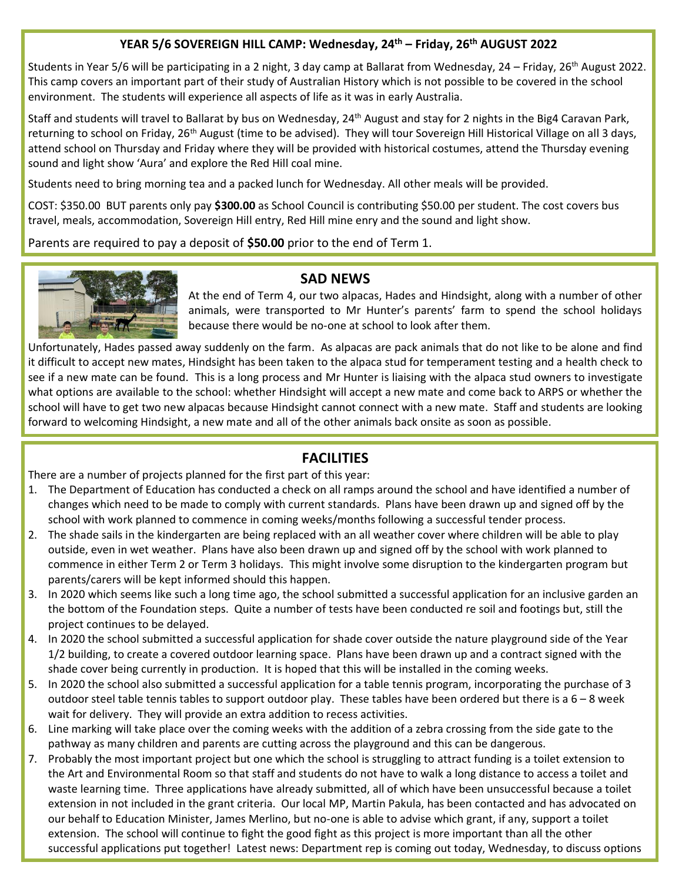#### **YEAR 5/6 SOVEREIGN HILL CAMP: Wednesday, 24th – Friday, 26th AUGUST 2022**

Students in Year 5/6 will be participating in a 2 night, 3 day camp at Ballarat from Wednesday, 24 – Friday, 26<sup>th</sup> August 2022. This camp covers an important part of their study of Australian History which is not possible to be covered in the school environment. The students will experience all aspects of life as it was in early Australia.

Staff and students will travel to Ballarat by bus on Wednesday, 24<sup>th</sup> August and stay for 2 nights in the Big4 Caravan Park, returning to school on Friday, 26<sup>th</sup> August (time to be advised). They will tour Sovereign Hill Historical Village on all 3 days, attend school on Thursday and Friday where they will be provided with historical costumes, attend the Thursday evening sound and light show 'Aura' and explore the Red Hill coal mine.

Students need to bring morning tea and a packed lunch for Wednesday. All other meals will be provided.

COST: \$350.00 BUT parents only pay **\$300.00** as School Council is contributing \$50.00 per student. The cost covers bus travel, meals, accommodation, Sovereign Hill entry, Red Hill mine enry and the sound and light show.

Parents are required to pay a deposit of **\$50.00** prior to the end of Term 1.



#### **SAD NEWS**

At the end of Term 4, our two alpacas, Hades and Hindsight, along with a number of other animals, were transported to Mr Hunter's parents' farm to spend the school holidays because there would be no-one at school to look after them.

Unfortunately, Hades passed away suddenly on the farm. As alpacas are pack animals that do not like to be alone and find it difficult to accept new mates, Hindsight has been taken to the alpaca stud for temperament testing and a health check to see if a new mate can be found. This is a long process and Mr Hunter is liaising with the alpaca stud owners to investigate what options are available to the school: whether Hindsight will accept a new mate and come back to ARPS or whether the school will have to get two new alpacas because Hindsight cannot connect with a new mate. Staff and students are looking forward to welcoming Hindsight, a new mate and all of the other animals back onsite as soon as possible.

#### **FACILITIES**

There are a number of projects planned for the first part of this year:

- 1. The Department of Education has conducted a check on all ramps around the school and have identified a number of changes which need to be made to comply with current standards. Plans have been drawn up and signed off by the school with work planned to commence in coming weeks/months following a successful tender process.
- 2. The shade sails in the kindergarten are being replaced with an all weather cover where children will be able to play outside, even in wet weather. Plans have also been drawn up and signed off by the school with work planned to commence in either Term 2 or Term 3 holidays. This might involve some disruption to the kindergarten program but parents/carers will be kept informed should this happen.
- 3. In 2020 which seems like such a long time ago, the school submitted a successful application for an inclusive garden an the bottom of the Foundation steps. Quite a number of tests have been conducted re soil and footings but, still the project continues to be delayed.
- 4. In 2020 the school submitted a successful application for shade cover outside the nature playground side of the Year 1/2 building, to create a covered outdoor learning space. Plans have been drawn up and a contract signed with the shade cover being currently in production. It is hoped that this will be installed in the coming weeks.
- 5. In 2020 the school also submitted a successful application for a table tennis program, incorporating the purchase of 3 outdoor steel table tennis tables to support outdoor play. These tables have been ordered but there is a  $6-8$  week wait for delivery. They will provide an extra addition to recess activities.
- 6. Line marking will take place over the coming weeks with the addition of a zebra crossing from the side gate to the pathway as many children and parents are cutting across the playground and this can be dangerous.
- 7. Probably the most important project but one which the school is struggling to attract funding is a toilet extension to the Art and Environmental Room so that staff and students do not have to walk a long distance to access a toilet and waste learning time. Three applications have already submitted, all of which have been unsuccessful because a toilet extension in not included in the grant criteria. Our local MP, Martin Pakula, has been contacted and has advocated on our behalf to Education Minister, James Merlino, but no-one is able to advise which grant, if any, support a toilet extension. The school will continue to fight the good fight as this project is more important than all the other successful applications put together! Latest news: Department rep is coming out today, Wednesday, to discuss options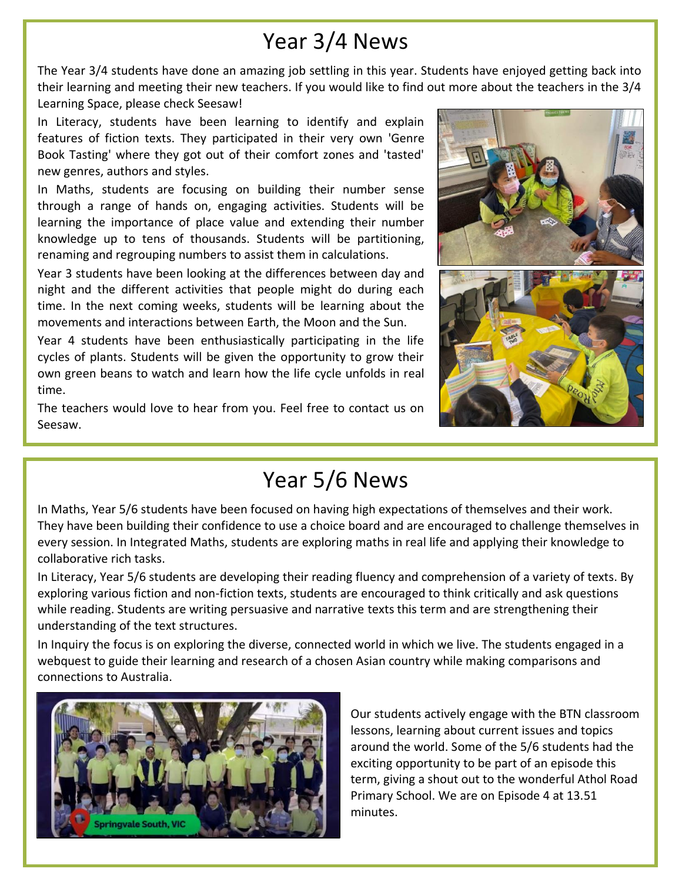## Year 3/4 News

The Year 3/4 students have done an amazing job settling in this year. Students have enjoyed getting back into their learning and meeting their new teachers. If you would like to find out more about the teachers in the 3/4 Learning Space, please check Seesaw!

In Literacy, students have been learning to identify and explain features of fiction texts. They participated in their very own 'Genre Book Tasting' where they got out of their comfort zones and 'tasted' new genres, authors and styles.

In Maths, students are focusing on building their number sense through a range of hands on, engaging activities. Students will be learning the importance of place value and extending their number knowledge up to tens of thousands. Students will be partitioning, renaming and regrouping numbers to assist them in calculations.

Year 3 students have been looking at the differences between day and night and the different activities that people might do during each time. In the next coming weeks, students will be learning about the movements and interactions between Earth, the Moon and the Sun.

Year 4 students have been enthusiastically participating in the life cycles of plants. Students will be given the opportunity to grow their own green beans to watch and learn how the life cycle unfolds in real time.

The teachers would love to hear from you. Feel free to contact us on Seesaw.



## Year 5/6 News

In Maths, Year 5/6 students have been focused on having high expectations of themselves and their work. They have been building their confidence to use a choice board and are encouraged to challenge themselves in every session. In Integrated Maths, students are exploring maths in real life and applying their knowledge to collaborative rich tasks.

In Literacy, Year 5/6 students are developing their reading fluency and comprehension of a variety of texts. By exploring various fiction and non-fiction texts, students are encouraged to think critically and ask questions while reading. Students are writing persuasive and narrative texts this term and are strengthening their understanding of the text structures.

In Inquiry the focus is on exploring the diverse, connected world in which we live. The students engaged in a webquest to guide their learning and research of a chosen Asian country while making comparisons and connections to Australia.



Our students actively engage with the BTN classroom lessons, learning about current issues and topics around the world. Some of the 5/6 students had the exciting opportunity to be part of an episode this term, giving a shout out to the wonderful Athol Road Primary School. We are on Episode 4 at 13.51 minutes.